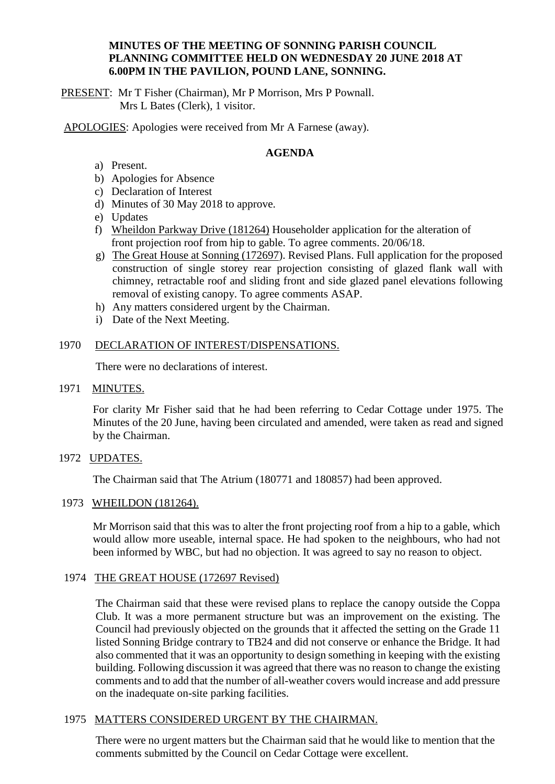## **MINUTES OF THE MEETING OF SONNING PARISH COUNCIL PLANNING COMMITTEE HELD ON WEDNESDAY 20 JUNE 2018 AT 6.00PM IN THE PAVILION, POUND LANE, SONNING.**

PRESENT: Mr T Fisher (Chairman), Mr P Morrison, Mrs P Pownall. Mrs L Bates (Clerk), 1 visitor.

APOLOGIES: Apologies were received from Mr A Farnese (away).

# **AGENDA**

- a) Present.
- b) Apologies for Absence
- c) Declaration of Interest
- d) Minutes of 30 May 2018 to approve.
- e) Updates
- f) Wheildon Parkway Drive  $(181264)$  Householder application for the alteration of front projection roof from hip to gable. To agree comments. 20/06/18.
- g) The Great House at Sonning (172697). Revised Plans. Full application for the proposed construction of single storey rear projection consisting of glazed flank wall with chimney, retractable roof and sliding front and side glazed panel elevations following removal of existing canopy. To agree comments ASAP.
- h) Any matters considered urgent by the Chairman.
- i) Date of the Next Meeting.

## 1970 DECLARATION OF INTEREST/DISPENSATIONS.

There were no declarations of interest.

1971 MINUTES.

For clarity Mr Fisher said that he had been referring to Cedar Cottage under 1975. The Minutes of the 20 June, having been circulated and amended, were taken as read and signed by the Chairman.

1972 UPDATES.

The Chairman said that The Atrium (180771 and 180857) had been approved.

## 1973 WHEILDON (181264).

Mr Morrison said that this was to alter the front projecting roof from a hip to a gable, which would allow more useable, internal space. He had spoken to the neighbours, who had not been informed by WBC, but had no objection. It was agreed to say no reason to object.

## 1974 THE GREAT HOUSE (172697 Revised)

The Chairman said that these were revised plans to replace the canopy outside the Coppa Club. It was a more permanent structure but was an improvement on the existing. The Council had previously objected on the grounds that it affected the setting on the Grade 11 listed Sonning Bridge contrary to TB24 and did not conserve or enhance the Bridge. It had also commented that it was an opportunity to design something in keeping with the existing building. Following discussion it was agreed that there was no reason to change the existing comments and to add that the number of all-weather covers would increase and add pressure on the inadequate on-site parking facilities.

## 1975 MATTERS CONSIDERED URGENT BY THE CHAIRMAN.

There were no urgent matters but the Chairman said that he would like to mention that the comments submitted by the Council on Cedar Cottage were excellent.